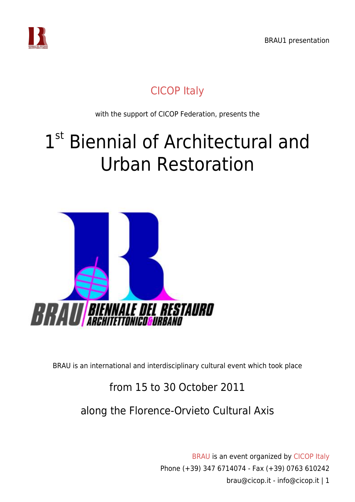

### [CICOP Italy](https://www.cicop.it)

with the support of CICOP Federation, presents the

# 1<sup>st</sup> Biennial of Architectural and Urban Restoration



BRAU is an international and interdisciplinary cultural event which took place

#### from 15 to 30 October 2011

#### along the Florence-Orvieto Cultural Axis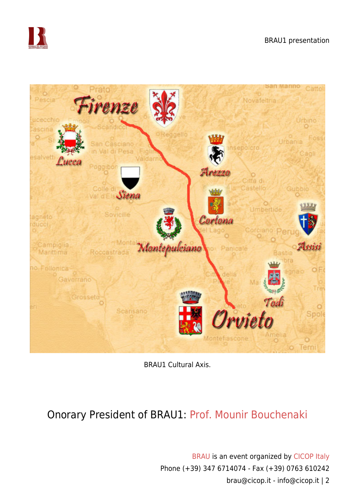



BRAU1 Cultural Axis.

#### Onorary President of BRAU1: [Prof. Mounir Bouchenaki](https://www.cicop.it/brau/it/bouchenaki/)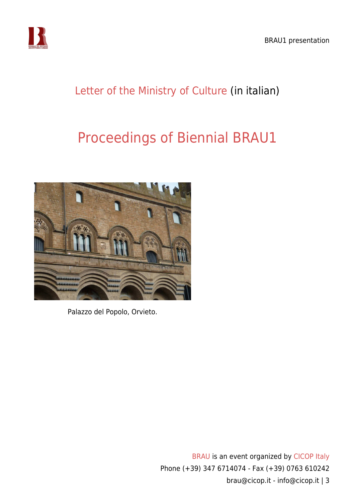

## [Letter of the Ministry of Culture](https://www.cicop.it/brau/wp-content/uploads/2017/10/BRAU1-lettera-Ministro-Beni-e-Attività-Culturali.pdf) (in italian)

# [Proceedings of Biennial BRAU1](https://www.cicop.it/wordpress/en/proceedings/#brau1)



Palazzo del Popolo, Orvieto.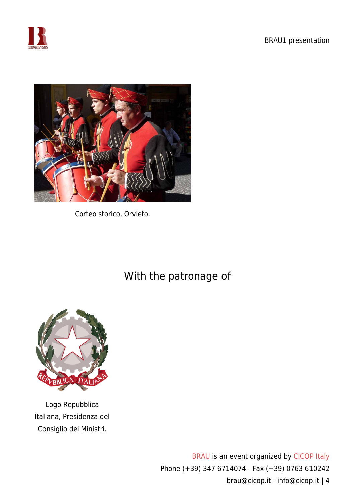



Corteo storico, Orvieto.

With the patronage of



Logo Repubblica Italiana, Presidenza del Consiglio dei Ministri.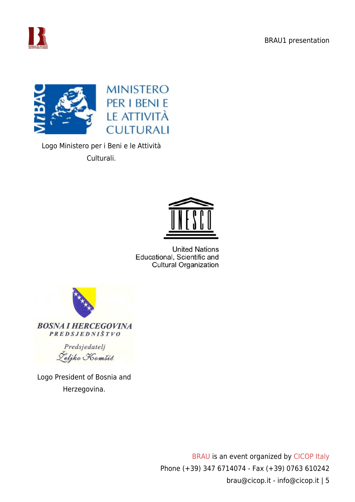



Logo Ministero per i Beni e le Attività Culturali.



**United Nations** Educational, Scientific and **Cultural Organization** 



Predsjedatelj Željko Komšić

Logo President of Bosnia and Herzegovina.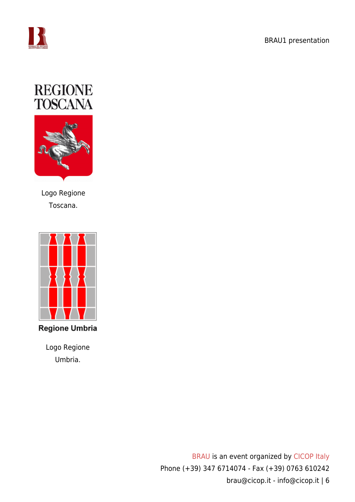





Logo Regione Toscana.



**Regione Umbria** 

Logo Regione Umbria.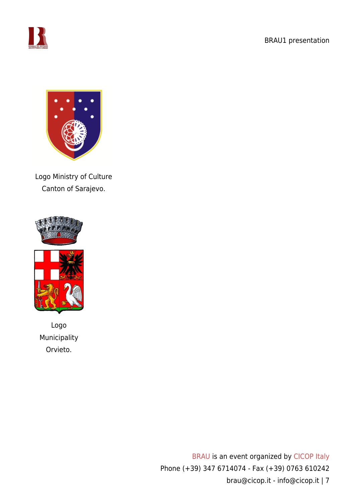



Logo Ministry of Culture Canton of Sarajevo.





Logo Municipality Orvieto.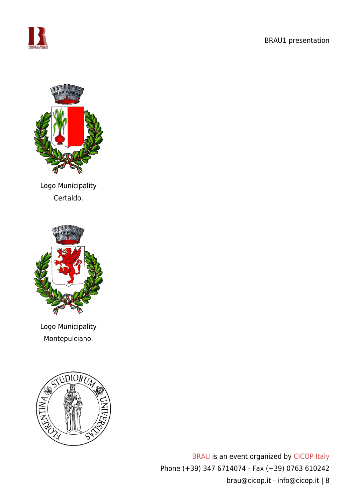



Logo Municipality Certaldo.



Logo Municipality Montepulciano.

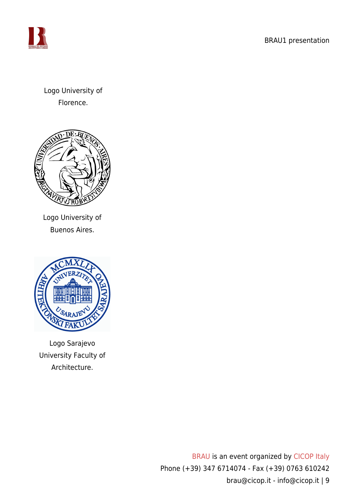

Logo University of Florence.



Logo University of Buenos Aires.



Logo Sarajevo University Faculty of Architecture.